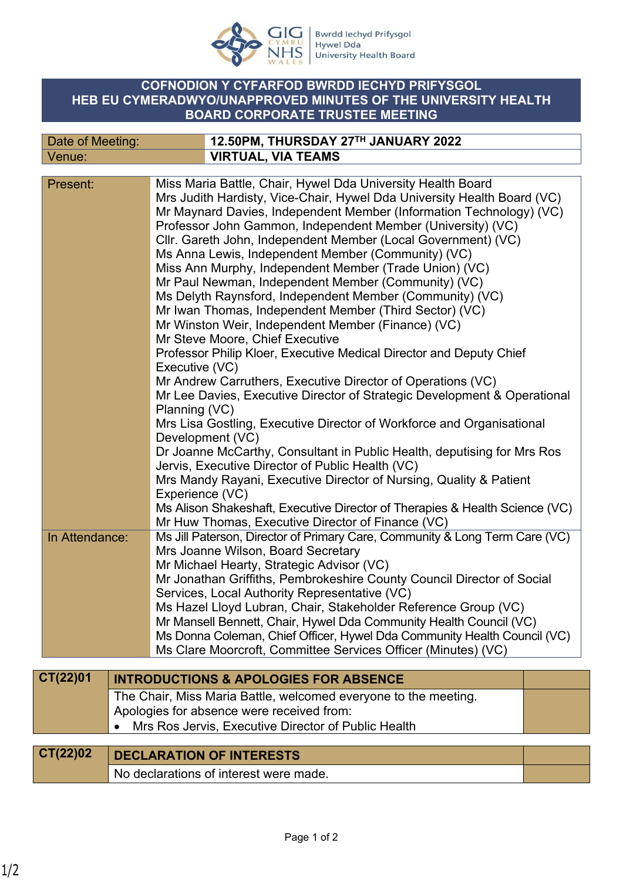

## **COFNODION Y CYFARFOD BWRDD IECHYD PRIFYSGOL HEB EU CYMERADWYO/UNAPPROVED MINUTES OF THE UNIVERSITY HEALTH BOARD CORPORATE TRUSTEE MEETING**

| Date of Meeting: |  | 12.50PM, THURSDAY 27TH JANUARY 2022                                         |  |  |  |  |
|------------------|--|-----------------------------------------------------------------------------|--|--|--|--|
| Venue:           |  | <b>VIRTUAL, VIA TEAMS</b>                                                   |  |  |  |  |
|                  |  |                                                                             |  |  |  |  |
| Present:         |  | Miss Maria Battle, Chair, Hywel Dda University Health Board                 |  |  |  |  |
|                  |  | Mrs Judith Hardisty, Vice-Chair, Hywel Dda University Health Board (VC)     |  |  |  |  |
|                  |  | Mr Maynard Davies, Independent Member (Information Technology) (VC)         |  |  |  |  |
|                  |  | Professor John Gammon, Independent Member (University) (VC)                 |  |  |  |  |
|                  |  | Cllr. Gareth John, Independent Member (Local Government) (VC)               |  |  |  |  |
|                  |  | Ms Anna Lewis, Independent Member (Community) (VC)                          |  |  |  |  |
|                  |  | Miss Ann Murphy, Independent Member (Trade Union) (VC)                      |  |  |  |  |
|                  |  | Mr Paul Newman, Independent Member (Community) (VC)                         |  |  |  |  |
|                  |  | Ms Delyth Raynsford, Independent Member (Community) (VC)                    |  |  |  |  |
|                  |  | Mr Iwan Thomas, Independent Member (Third Sector) (VC)                      |  |  |  |  |
|                  |  | Mr Winston Weir, Independent Member (Finance) (VC)                          |  |  |  |  |
|                  |  | Mr Steve Moore, Chief Executive                                             |  |  |  |  |
|                  |  | Professor Philip Kloer, Executive Medical Director and Deputy Chief         |  |  |  |  |
|                  |  | Executive (VC)                                                              |  |  |  |  |
|                  |  | Mr Andrew Carruthers, Executive Director of Operations (VC)                 |  |  |  |  |
|                  |  | Mr Lee Davies, Executive Director of Strategic Development & Operational    |  |  |  |  |
|                  |  | Planning (VC)                                                               |  |  |  |  |
|                  |  | Mrs Lisa Gostling, Executive Director of Workforce and Organisational       |  |  |  |  |
|                  |  | Development (VC)                                                            |  |  |  |  |
|                  |  | Dr Joanne McCarthy, Consultant in Public Health, deputising for Mrs Ros     |  |  |  |  |
|                  |  | Jervis, Executive Director of Public Health (VC)                            |  |  |  |  |
|                  |  | Mrs Mandy Rayani, Executive Director of Nursing, Quality & Patient          |  |  |  |  |
|                  |  | Experience (VC)                                                             |  |  |  |  |
|                  |  | Ms Alison Shakeshaft, Executive Director of Therapies & Health Science (VC) |  |  |  |  |
|                  |  | Mr Huw Thomas, Executive Director of Finance (VC)                           |  |  |  |  |
| In Attendance:   |  | Ms Jill Paterson, Director of Primary Care, Community & Long Term Care (VC) |  |  |  |  |
|                  |  | Mrs Joanne Wilson, Board Secretary                                          |  |  |  |  |
|                  |  | Mr Michael Hearty, Strategic Advisor (VC)                                   |  |  |  |  |
|                  |  | Mr Jonathan Griffiths, Pembrokeshire County Council Director of Social      |  |  |  |  |
|                  |  | Services, Local Authority Representative (VC)                               |  |  |  |  |
|                  |  | Ms Hazel Lloyd Lubran, Chair, Stakeholder Reference Group (VC)              |  |  |  |  |
|                  |  | Mr Mansell Bennett, Chair, Hywel Dda Community Health Council (VC)          |  |  |  |  |
|                  |  | Ms Donna Coleman, Chief Officer, Hywel Dda Community Health Council (VC)    |  |  |  |  |
|                  |  | Ms Clare Moorcroft, Committee Services Officer (Minutes) (VC)               |  |  |  |  |
| CT(22)01         |  |                                                                             |  |  |  |  |
|                  |  | <b>INTRODUCTIONS &amp; APOLOGIES FOR ABSENCE</b>                            |  |  |  |  |
|                  |  | The Chair, Miss Maria Battle, welcomed everyone to the meeting.             |  |  |  |  |
|                  |  | Apologies for absence were received from:                                   |  |  |  |  |
|                  |  | Mrs Ros Jervis, Executive Director of Public Health                         |  |  |  |  |
|                  |  |                                                                             |  |  |  |  |
| CT(22)02         |  | <b>DECLARATION OF INTERESTS</b>                                             |  |  |  |  |